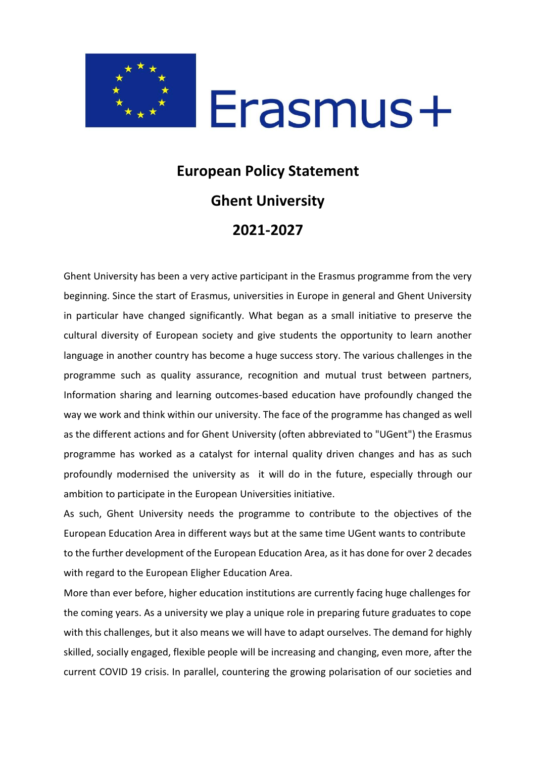

#### **European Policy Statement Ghent University 2021-2027**

Ghent University has been a very active participant in the Erasmus programme from the very beginning. Since the start of Erasmus, universities in Europe in general and Ghent University in particular have changed significantly. What began as a small initiative to preserve the cultural diversity of European society and give students the opportunity to learn another language in another country has become a huge success story. The various challenges in the programme such as quality assurance, recognition and mutual trust between partners, Information sharing and learning outcomes-based education have profoundly changed the way we work and think within our university. The face of the programme has changed as well as the different actions and for Ghent University (often abbreviated to "UGent") the Erasmus programme has worked as a catalyst for internal quality driven changes and has as such profoundly modernised the university as it will do in the future, especially through our ambition to participate in the European Universities initiative.

As such, Ghent University needs the programme to contribute to the objectives of the European Education Area in different ways but at the same time UGent wants to contribute to the further development of the European Education Area, as it has done for over 2 decades with regard to the European Eligher Education Area.

More than ever before, higher education institutions are currently facing huge challenges for the coming years. As a university we play a unique role in preparing future graduates to cope with this challenges, but it also means we will have to adapt ourselves. The demand for highly skilled, socially engaged, flexible people will be increasing and changing, even more, after the current COVID 19 crisis. In parallel, countering the growing polarisation of our societies and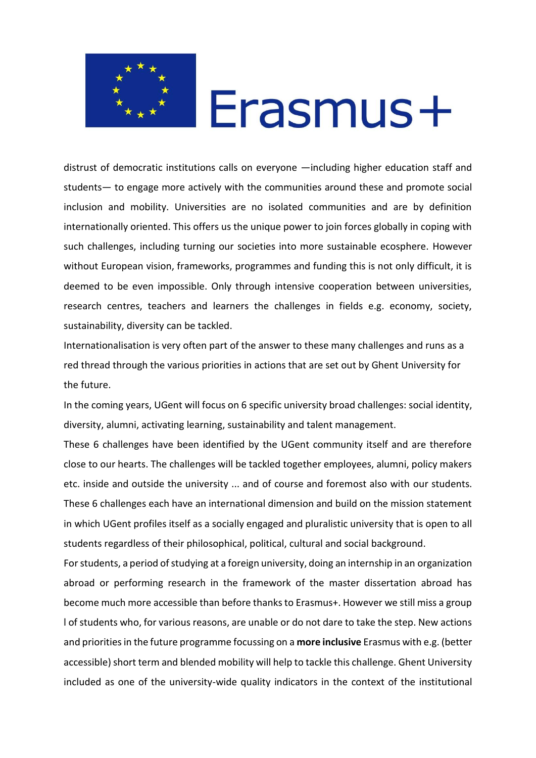

distrust of democratic institutions calls on everyone —including higher education staff and students— to engage more actively with the communities around these and promote social inclusion and mobility. Universities are no isolated communities and are by definition internationally oriented. This offers us the unique power to join forces globally in coping with such challenges, including turning our societies into more sustainable ecosphere. However without European vision, frameworks, programmes and funding this is not only difficult, it is deemed to be even impossible. Only through intensive cooperation between universities, research centres, teachers and learners the challenges in fields e.g. economy, society, sustainability, diversity can be tackled.

Internationalisation is very often part of the answer to these many challenges and runs as a red thread through the various priorities in actions that are set out by Ghent University for the future.

In the coming years, UGent will focus on 6 specific university broad challenges: social identity, diversity, alumni, activating learning, sustainability and talent management.

These 6 challenges have been identified by the UGent community itself and are therefore close to our hearts. The challenges will be tackled together employees, alumni, policy makers etc. inside and outside the university ... and of course and foremost also with our students. These 6 challenges each have an international dimension and build on the mission statement in which UGent profiles itself as a socially engaged and pluralistic university that is open to all students regardless of their philosophical, political, cultural and social background.

For students, a period of studying at a foreign university, doing an internship in an organization abroad or performing research in the framework of the master dissertation abroad has become much more accessible than before thanks to Erasmus+. However we still miss a group l of students who, for various reasons, are unable or do not dare to take the step. New actions and priorities in the future programme focussing on a **more inclusive** Erasmus with e.g. (better accessible) short term and blended mobility will help to tackle this challenge. Ghent University included as one of the university-wide quality indicators in the context of the institutional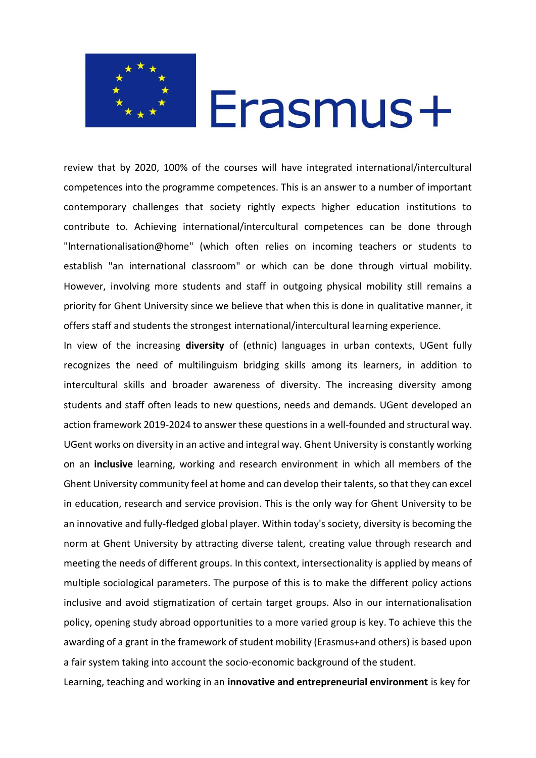

review that by 2020, 100% of the courses will have integrated international/intercultural competences into the programme competences. This is an answer to a number of important contemporary challenges that society rightly expects higher education institutions to contribute to. Achieving international/intercultural competences can be done through "lnternationalisation@home" (which often relies on incoming teachers or students to establish "an international classroom" or which can be done through virtual mobility. However, involving more students and staff in outgoing physical mobility still remains a priority for Ghent University since we believe that when this is done in qualitative manner, it offers staff and students the strongest international/intercultural learning experience.

In view of the increasing **diversity** of (ethnic) languages in urban contexts, UGent fully recognizes the need of multilinguism bridging skills among its learners, in addition to intercultural skills and broader awareness of diversity. The increasing diversity among students and staff often leads to new questions, needs and demands. UGent developed an action framework 2019-2024 to answer these questions in a well-founded and structural way. UGent works on diversity in an active and integral way. Ghent University is constantly working on an **inclusive** learning, working and research environment in which all members of the Ghent University community feel at home and can develop their talents, so that they can excel in education, research and service provision. This is the only way for Ghent University to be an innovative and fully-fledged global player. Within today's society, diversity is becoming the norm at Ghent University by attracting diverse talent, creating value through research and meeting the needs of different groups. In this context, intersectionality is applied by means of multiple sociological parameters. The purpose of this is to make the different policy actions inclusive and avoid stigmatization of certain target groups. Also in our internationalisation policy, opening study abroad opportunities to a more varied group is key. To achieve this the awarding of a grant in the framework of student mobility (Erasmus+and others) is based upon a fair system taking into account the socio-economic background of the student.

Learning, teaching and working in an **innovative and entrepreneurial environment** is key for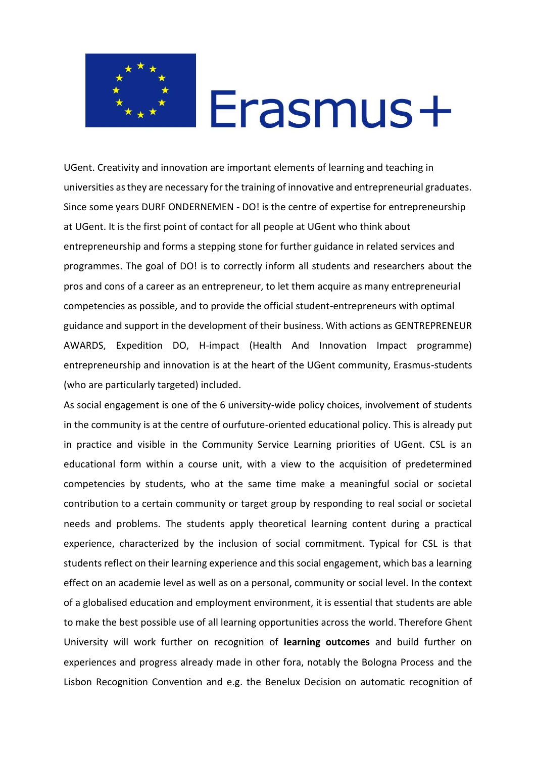

UGent. Creativity and innovation are important elements of learning and teaching in universities as they are necessary for the training of innovative and entrepreneurial graduates. Since some years DURF ONDERNEMEN - DO! is the centre of expertise for entrepreneurship at UGent. It is the first point of contact for all people at UGent who think about entrepreneurship and forms a stepping stone for further guidance in related services and programmes. The goal of DO! is to correctly inform all students and researchers about the pros and cons of a career as an entrepreneur, to let them acquire as many entrepreneurial competencies as possible, and to provide the official student-entrepreneurs with optimal guidance and support in the development of their business. With actions as GENTREPRENEUR AWARDS, Expedition DO, H-impact (Health And Innovation Impact programme) entrepreneurship and innovation is at the heart of the UGent community, Erasmus-students (who are particularly targeted) included.

As social engagement is one of the 6 university-wide policy choices, involvement of students in the community is at the centre of ourfuture-oriented educational policy. This is already put in practice and visible in the Community Service Learning priorities of UGent. CSL is an educational form within a course unit, with a view to the acquisition of predetermined competencies by students, who at the same time make a meaningful social or societal contribution to a certain community or target group by responding to real social or societal needs and problems. The students apply theoretical learning content during a practical experience, characterized by the inclusion of social commitment. Typical for CSL is that students reflect on their learning experience and this social engagement, which bas a learning effect on an academie level as well as on a personal, community or social level. In the context of a globalised education and employment environment, it is essential that students are able to make the best possible use of all learning opportunities across the world. Therefore Ghent University will work further on recognition of **learning outcomes** and build further on experiences and progress already made in other fora, notably the Bologna Process and the Lisbon Recognition Convention and e.g. the Benelux Decision on automatic recognition of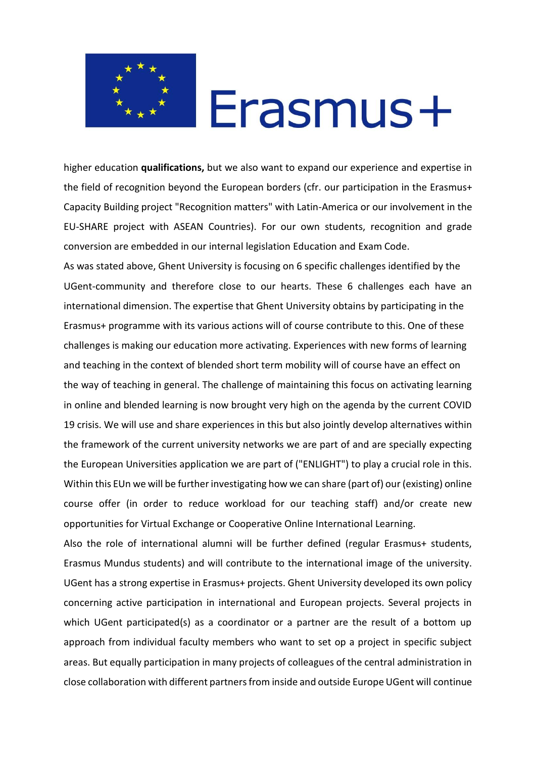

higher education **qualifications,** but we also want to expand our experience and expertise in the field of recognition beyond the European borders (cfr. our participation in the Erasmus+ Capacity Building project "Recognition matters" with Latin-America or our involvement in the EU-SHARE project with ASEAN Countries). For our own students, recognition and grade conversion are embedded in our internal legislation Education and Exam Code.

As was stated above, Ghent University is focusing on 6 specific challenges identified by the UGent-community and therefore close to our hearts. These 6 challenges each have an international dimension. The expertise that Ghent University obtains by participating in the Erasmus+ programme with its various actions will of course contribute to this. One of these challenges is making our education more activating. Experiences with new forms of learning and teaching in the context of blended short term mobility will of course have an effect on the way of teaching in general. The challenge of maintaining this focus on activating learning in online and blended learning is now brought very high on the agenda by the current COVID 19 crisis. We will use and share experiences in this but also jointly develop alternatives within the framework of the current university networks we are part of and are specially expecting the European Universities application we are part of ("ENLIGHT") to play a crucial role in this. Within this EUn we will be further investigating how we can share (part of) our (existing) online course offer (in order to reduce workload for our teaching staff) and/or create new opportunities for Virtual Exchange or Cooperative Online International Learning.

Also the role of international alumni will be further defined (regular Erasmus+ students, Erasmus Mundus students) and will contribute to the international image of the university. UGent has a strong expertise in Erasmus+ projects. Ghent University developed its own policy concerning active participation in international and European projects. Several projects in which UGent participated(s) as a coordinator or a partner are the result of a bottom up approach from individual faculty members who want to set op a project in specific subject areas. But equally participation in many projects of colleagues of the central administration in close collaboration with different partners from inside and outside Europe UGent will continue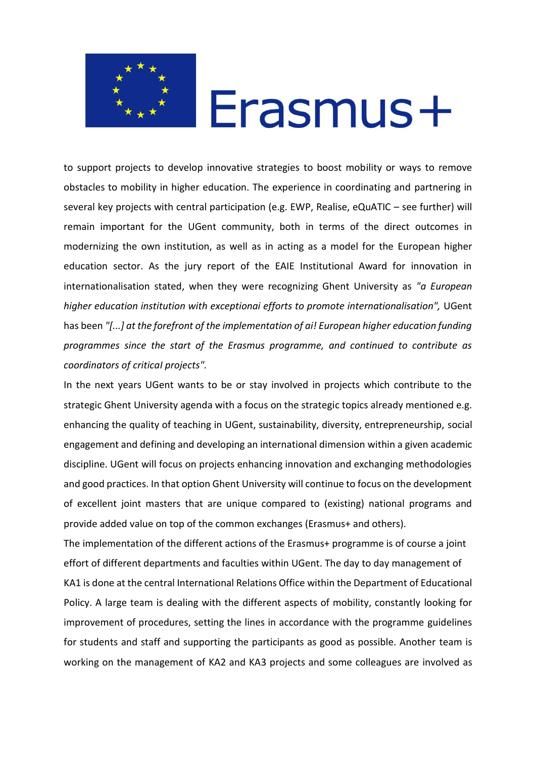

to support projects to develop innovative strategies to boost mobility or ways to remove obstacles to mobility in higher education. The experience in coordinating and partnering in several key projects with central participation (e.g. EWP, Realise, eQuATIC – see further) will remain important for the UGent community, both in terms of the direct outcomes in modernizing the own institution, as well as in acting as a model for the European higher education sector. As the jury report of the EAIE Institutional Award for innovation in internationalisation stated, when they were recognizing Ghent University as *"a European higher education institution with exceptionai efforts to promote internationalisation",* UGent has been *"[...] at the forefront of the implementation of ai! European higher education funding programmes since the start of the Erasmus programme, and continued to contribute as coordinators of criticaI projects".*

In the next years UGent wants to be or stay involved in projects which contribute to the strategic Ghent University agenda with a focus on the strategic topics already mentioned e.g. enhancing the quality of teaching in UGent, sustainability, diversity, entrepreneurship, social engagement and defining and developing an international dimension within a given academic discipline. UGent will focus on projects enhancing innovation and exchanging methodologies and good practices. In that option Ghent University will continue to focus on the development of excellent joint masters that are unique compared to (existing) national programs and provide added value on top of the common exchanges (Erasmus+ and others).

The implementation of the different actions of the Erasmus+ programme is of course a joint effort of different departments and faculties within UGent. The day to day management of KA1 is done at the central International Relations Office within the Department of Educational Policy. A large team is dealing with the different aspects of mobility, constantly looking for improvement of procedures, setting the lines in accordance with the programme guidelines for students and staff and supporting the participants as good as possible. Another team is working on the management of KA2 and KA3 projects and some colleagues are involved as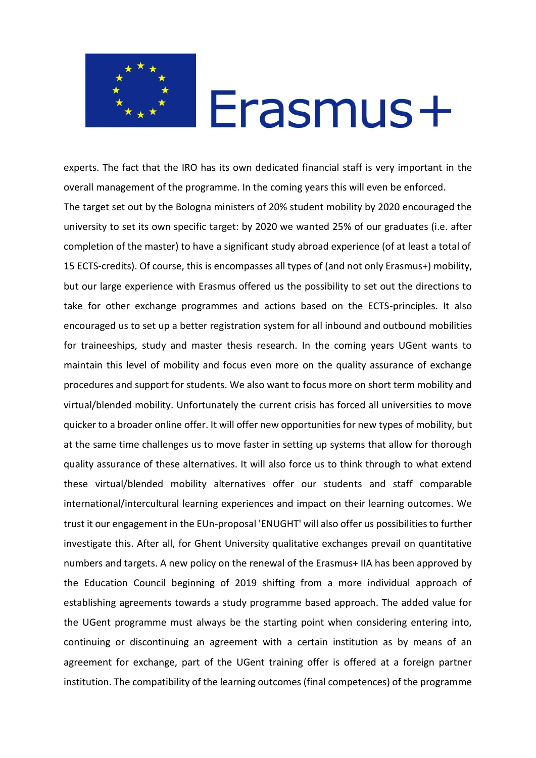

experts. The fact that the IRO has its own dedicated financial staff is very important in the overall management of the programme. In the coming years this will even be enforced. The target set out by the Bologna ministers of 20% student mobility by 2020 encouraged the university to set its own specific target: by 2020 we wanted 25% of our graduates (i.e. after completion of the master) to have a significant study abroad experience (of at least a total of 15 ECTS-credits). Of course, this is encompasses all types of (and not only Erasmus+) mobility, but our large experience with Erasmus offered us the possibility to set out the directions to take for other exchange programmes and actions based on the ECTS-principles. It also encouraged us to set up a better registration system for all inbound and outbound mobilities for traineeships, study and master thesis research. In the coming years UGent wants to maintain this level of mobility and focus even more on the quality assurance of exchange procedures and support for students. We also want to focus more on short term mobility and virtual/blended mobility. Unfortunately the current crisis has forced all universities to move quicker to a broader online offer. It will offer new opportunities for new types of mobility, but at the same time challenges us to move faster in setting up systems that allow for thorough quality assurance of these alternatives. It will also force us to think through to what extend these virtual/blended mobility alternatives offer our students and staff comparable international/intercultural learning experiences and impact on their learning outcomes. We trust it our engagement in the EUn-proposal 'ENUGHT' will also offer us possibilities to further investigate this. After all, for Ghent University qualitative exchanges prevail on quantitative numbers and targets. A new policy on the renewal of the Erasmus+ IIA has been approved by the Education Council beginning of 2019 shifting from a more individual approach of establishing agreements towards a study programme based approach. The added value for the UGent programme must always be the starting point when considering entering into, continuing or discontinuing an agreement with a certain institution as by means of an agreement for exchange, part of the UGent training offer is offered at a foreign partner institution. The compatibility of the learning outcomes (final competences) of the programme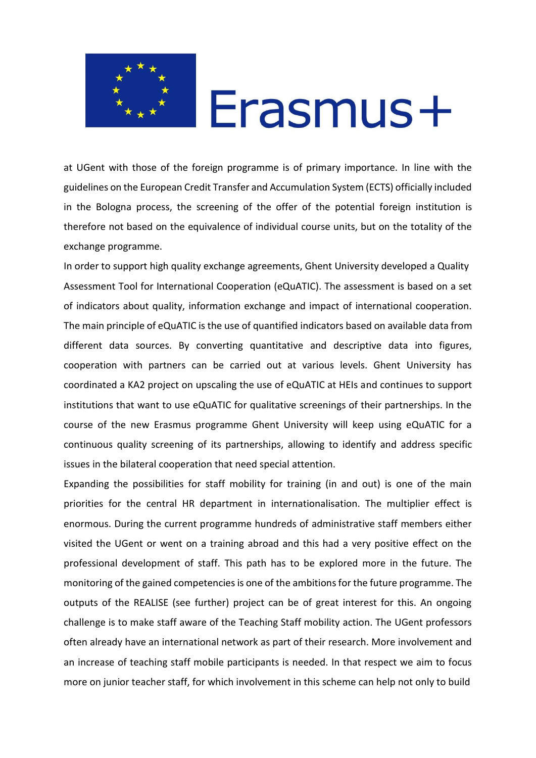

at UGent with those of the foreign programme is of primary importance. In line with the guidelines on the European Credit Transfer and Accumulation System (ECTS) officially included in the Bologna process, the screening of the offer of the potential foreign institution is therefore not based on the equivalence of individual course units, but on the totality of the exchange programme.

In order to support high quality exchange agreements, Ghent University developed a Quality Assessment Tool for International Cooperation (eQuATIC). The assessment is based on a set of indicators about quality, information exchange and impact of international cooperation. The main principle of eQuATIC is the use of quantified indicators based on available data from different data sources. By converting quantitative and descriptive data into figures, cooperation with partners can be carried out at various levels. Ghent University has coordinated a KA2 project on upscaling the use of eQuATIC at HEIs and continues to support institutions that want to use eQuATIC for qualitative screenings of their partnerships. In the course of the new Erasmus programme Ghent University will keep using eQuATIC for a continuous quality screening of its partnerships, allowing to identify and address specific issues in the bilateral cooperation that need special attention.

Expanding the possibilities for staff mobility for training (in and out) is one of the main priorities for the central HR department in internationalisation. The multiplier effect is enormous. During the current programme hundreds of administrative staff members either visited the UGent or went on a training abroad and this had a very positive effect on the professional development of staff. This path has to be explored more in the future. The monitoring of the gained competencies is one of the ambitions for the future programme. The outputs of the REALISE (see further) project can be of great interest for this. An ongoing challenge is to make staff aware of the Teaching Staff mobility action. The UGent professors often already have an international network as part of their research. More involvement and an increase of teaching staff mobile participants is needed. In that respect we aim to focus more on junior teacher staff, for which involvement in this scheme can help not only to build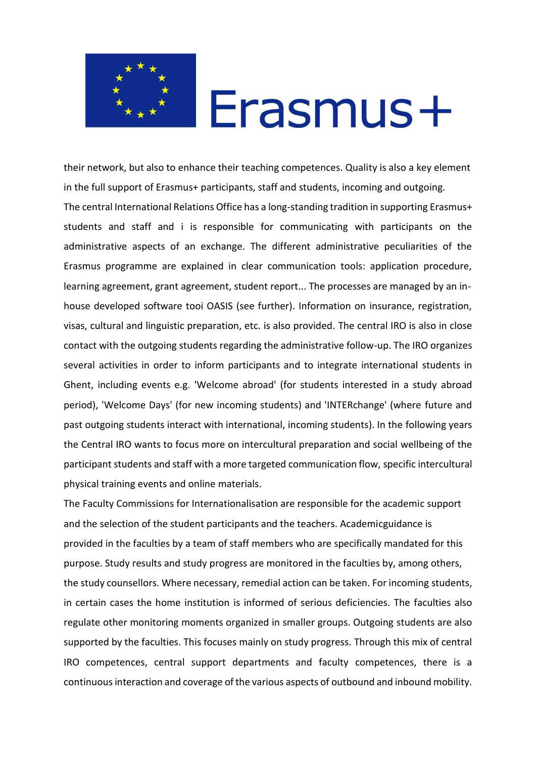

their network, but also to enhance their teaching competences. Quality is also a key element in the full support of Erasmus+ participants, staff and students, incoming and outgoing. The central International Relations Office has a long-standing tradition in supporting Erasmus+ students and staff and i is responsible for communicating with participants on the administrative aspects of an exchange. The different administrative peculiarities of the Erasmus programme are explained in clear communication tools: application procedure, learning agreement, grant agreement, student report... The processes are managed by an inhouse developed software tooi OASIS (see further). Information on insurance, registration, visas, cultural and linguistic preparation, etc. is also provided. The central IRO is also in close contact with the outgoing students regarding the administrative follow-up. The IRO organizes several activities in order to inform participants and to integrate international students in Ghent, including events e.g. 'Welcome abroad' (for students interested in a study abroad period), 'Welcome Days' (for new incoming students) and 'INTERchange' (where future and past outgoing students interact with international, incoming students). In the following years the Central IRO wants to focus more on intercultural preparation and social wellbeing of the participant students and staff with a more targeted communication flow, specific intercultural physical training events and online materials.

The Faculty Commissions for Internationalisation are responsible for the academic support and the selection of the student participants and the teachers. Academicguidance is provided in the faculties by a team of staff members who are specifically mandated for this purpose. Study results and study progress are monitored in the faculties by, among others, the study counsellors. Where necessary, remedial action can be taken. For incoming students, in certain cases the home institution is informed of serious deficiencies. The faculties also regulate other monitoring moments organized in smaller groups. Outgoing students are also supported by the faculties. This focuses mainly on study progress. Through this mix of central IRO competences, central support departments and faculty competences, there is a continuous interaction and coverage of the various aspects of outbound and inbound mobility.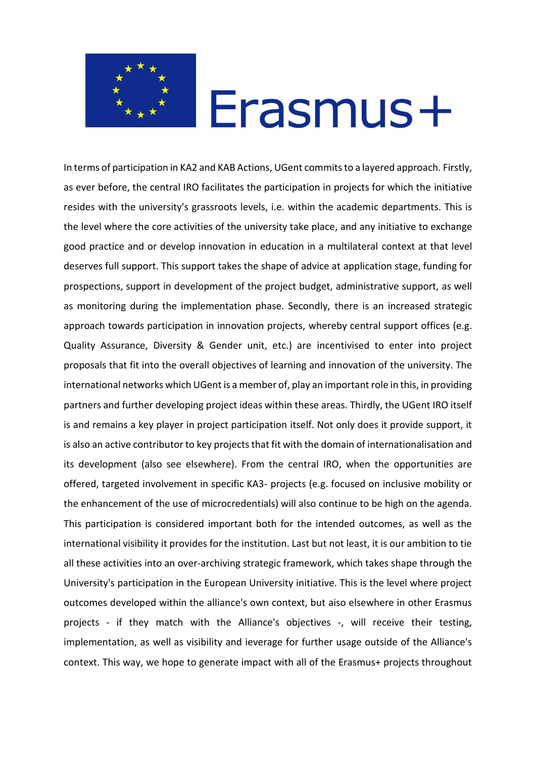

In terms of participation in KA2 and KAB Actions, UGent commits to a layered approach. Firstly, as ever before, the central IRO facilitates the participation in projects for which the initiative resides with the university's grassroots levels, i.e. within the academic departments. This is the level where the core activities of the university take place, and any initiative to exchange good practice and or develop innovation in education in a multilateral context at that level deserves full support. This support takes the shape of advice at application stage, funding for prospections, support in development of the project budget, administrative support, as well as monitoring during the implementation phase. Secondly, there is an increased strategic approach towards participation in innovation projects, whereby central support offices (e.g. Quality Assurance, Diversity & Gender unit, etc.) are incentivised to enter into project proposals that fit into the overall objectives of learning and innovation of the university. The international networks which UGent is a member of, play an important role in this, in providing partners and further developing project ideas within these areas. Thirdly, the UGent IRO itself is and remains a key player in project participation itself. Not only does it provide support, it is also an active contributor to key projects that fit with the domain of internationalisation and its development (also see elsewhere). From the central IRO, when the opportunities are offered, targeted involvement in specific KA3- projects (e.g. focused on inclusive mobility or the enhancement of the use of microcredentials) will also continue to be high on the agenda. This participation is considered important both for the intended outcomes, as well as the international visibility it provides for the institution. Last but not least, it is our ambition to tie all these activities into an over-archiving strategic framework, which takes shape through the University's participation in the European University initiative. This is the level where project outcomes developed within the alliance's own context, but aiso elsewhere in other Erasmus projects - if they match with the Alliance's objectives -, will receive their testing, implementation, as well as visibility and ieverage for further usage outside of the Alliance's context. This way, we hope to generate impact with all of the Erasmus+ projects throughout